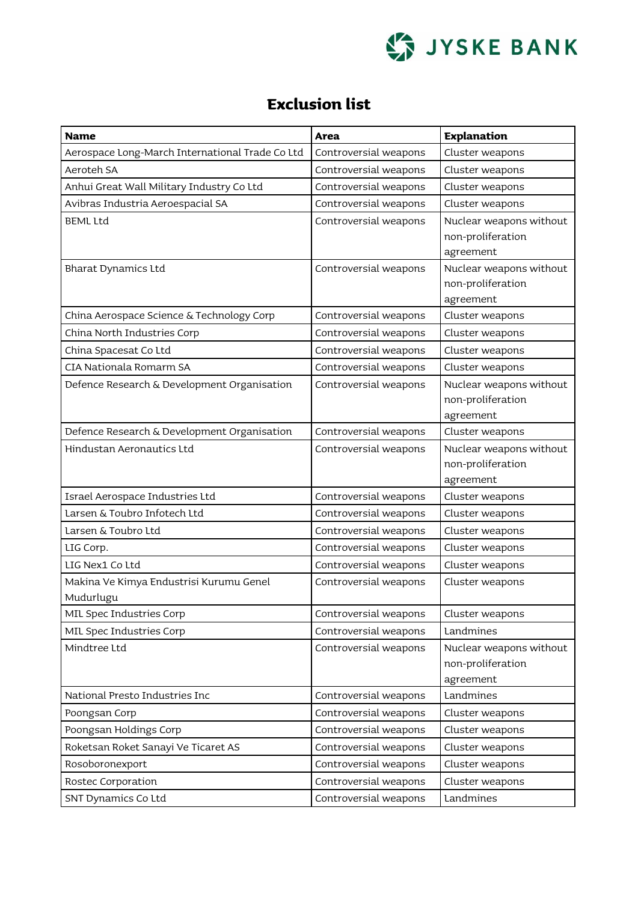

## **Exclusion list**

| Name                                            | <b>Area</b>           | <b>Explanation</b>           |
|-------------------------------------------------|-----------------------|------------------------------|
| Aerospace Long-March International Trade Co Ltd | Controversial weapons | Cluster weapons              |
| Aeroteh SA                                      | Controversial weapons | Cluster weapons              |
| Anhui Great Wall Military Industry Co Ltd       | Controversial weapons | Cluster weapons              |
| Avibras Industria Aeroespacial SA               | Controversial weapons | Cluster weapons              |
| <b>BEML Ltd</b>                                 | Controversial weapons | Nuclear weapons without      |
|                                                 |                       | non-proliferation            |
|                                                 |                       | agreement                    |
| <b>Bharat Dynamics Ltd</b>                      | Controversial weapons | Nuclear weapons without      |
|                                                 |                       | non-proliferation            |
|                                                 |                       | agreement                    |
| China Aerospace Science & Technology Corp       | Controversial weapons | Cluster weapons              |
| China North Industries Corp                     | Controversial weapons | Cluster weapons              |
| China Spacesat Co Ltd                           | Controversial weapons | Cluster weapons              |
| CIA Nationala Romarm SA                         | Controversial weapons | Cluster weapons              |
| Defence Research & Development Organisation     | Controversial weapons | Nuclear weapons without      |
|                                                 |                       | non-proliferation            |
|                                                 |                       | agreement                    |
| Defence Research & Development Organisation     | Controversial weapons | Cluster weapons              |
| Hindustan Aeronautics Ltd                       | Controversial weapons | Nuclear weapons without      |
|                                                 |                       | non-proliferation            |
| Israel Aerospace Industries Ltd                 | Controversial weapons | agreement<br>Cluster weapons |
| Larsen & Toubro Infotech Ltd                    | Controversial weapons | Cluster weapons              |
| Larsen & Toubro Ltd                             | Controversial weapons | Cluster weapons              |
| LIG Corp.                                       | Controversial weapons | Cluster weapons              |
| LIG Nex1 Co Ltd                                 | Controversial weapons | Cluster weapons              |
| Makina Ve Kimya Endustrisi Kurumu Genel         | Controversial weapons | Cluster weapons              |
| Mudurlugu                                       |                       |                              |
| MIL Spec Industries Corp                        | Controversial weapons | Cluster weapons              |
| MIL Spec Industries Corp                        | Controversial weapons | Landmines                    |
| Mindtree Ltd                                    | Controversial weapons | Nuclear weapons without      |
|                                                 |                       | non-proliferation            |
|                                                 |                       | agreement                    |
| National Presto Industries Inc                  | Controversial weapons | Landmines                    |
| Poongsan Corp                                   | Controversial weapons | Cluster weapons              |
| Poongsan Holdings Corp                          | Controversial weapons | Cluster weapons              |
| Roketsan Roket Sanayi Ve Ticaret AS             | Controversial weapons | Cluster weapons              |
| Rosoboronexport                                 | Controversial weapons | Cluster weapons              |
| Rostec Corporation                              | Controversial weapons | Cluster weapons              |
| SNT Dynamics Co Ltd                             | Controversial weapons | Landmines                    |